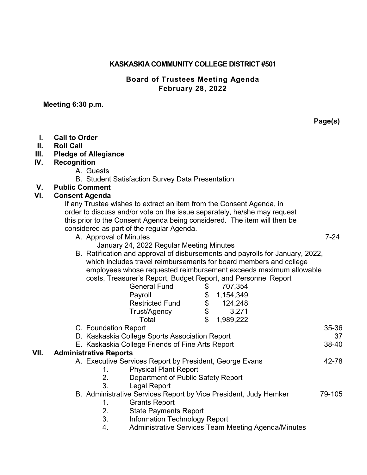#### **KASKASKIA COMMUNITY COLLEGE DISTRICT #501**

### **Board of Trustees Meeting Agenda February 28, 2022**

#### **Meeting 6:30 p.m.**

- **I. Call to Order**
- **II. Roll Call**
- **III. Pledge of Allegiance**
- **IV. Recognition**
	- A. Guests
	- B. Student Satisfaction Survey Data Presentation
- **V. Public Comment**

#### **VI. Consent Agenda**

If any Trustee wishes to extract an item from the Consent Agenda, in order to discuss and/or vote on the issue separately, he/she may request this prior to the Consent Agenda being considered. The item will then be considered as part of the regular Agenda.

- A. Approval of Minutes 7-24
	- January 24, 2022 Regular Meeting Minutes
- B. Ratification and approval of disbursements and payrolls for January, 2022, which includes travel reimbursements for board members and college employees whose requested reimbursement exceeds maximum allowable costs, Treasurer's Report, Budget Report, and Personnel Report

|      |                                                                                                    | <b>General Fund</b>                                        | \$ | 707,354   |        |       |
|------|----------------------------------------------------------------------------------------------------|------------------------------------------------------------|----|-----------|--------|-------|
|      |                                                                                                    | Payroll                                                    | \$ | 1,154,349 |        |       |
|      |                                                                                                    | <b>Restricted Fund</b>                                     | \$ | 124,248   |        |       |
|      |                                                                                                    | Trust/Agency                                               | \$ | 3,271     |        |       |
|      |                                                                                                    | Total                                                      | \$ | 1,989,222 |        |       |
|      | C. Foundation Report                                                                               |                                                            |    |           |        | 35-36 |
|      | D. Kaskaskia College Sports Association Report<br>E. Kaskaskia College Friends of Fine Arts Report |                                                            |    |           |        | 37    |
|      |                                                                                                    |                                                            |    |           |        | 38-40 |
| VII. | <b>Administrative Reports</b>                                                                      |                                                            |    |           |        |       |
|      | A. Executive Services Report by President, George Evans                                            |                                                            |    |           |        | 42-78 |
|      | 1.                                                                                                 | <b>Physical Plant Report</b>                               |    |           |        |       |
|      | 2.                                                                                                 | Department of Public Safety Report                         |    |           |        |       |
|      | 3.                                                                                                 | Legal Report                                               |    |           |        |       |
|      | B. Administrative Services Report by Vice President, Judy Hemker                                   |                                                            |    |           | 79-105 |       |
|      |                                                                                                    | <b>Grants Report</b>                                       |    |           |        |       |
|      | 2.                                                                                                 | <b>State Payments Report</b>                               |    |           |        |       |
|      | 3.                                                                                                 | <b>Information Technology Report</b>                       |    |           |        |       |
|      | 4.                                                                                                 | <b>Administrative Services Team Meeting Agenda/Minutes</b> |    |           |        |       |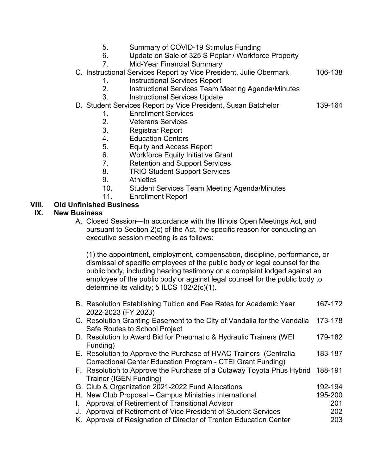- 5. Summary of COVID-19 Stimulus Funding
- 6. Update on Sale of 325 S Poplar / Workforce Property
- 7. Mid-Year Financial Summary
- C. Instructional Services Report by Vice President, Julie Obermark 106-138
	- 1. Instructional Services Report
	- 2. Instructional Services Team Meeting Agenda/Minutes
	- 3. Instructional Services Update
- D. Student Services Report by Vice President, Susan Batchelor 139-164
	- 1. Enrollment Services
	- 2. Veterans Services
	- 3. Registrar Report
	- 4. Education Centers
	- 5. Equity and Access Report
	- 6. Workforce Equity Initiative Grant
	- 7. Retention and Support Services
	- 8. TRIO Student Support Services
	- 9. Athletics
	- 10. Student Services Team Meeting Agenda/Minutes
	- 11. Enrollment Report

### **VIII. Old Unfinished Business**

#### **IX. New Business**

A. Closed Session—In accordance with the Illinois Open Meetings Act, and pursuant to Section 2(c) of the Act, the specific reason for conducting an executive session meeting is as follows:

(1) the appointment, employment, compensation, discipline, performance, or dismissal of specific employees of the public body or legal counsel for the public body, including hearing testimony on a complaint lodged against an employee of the public body or against legal counsel for the public body to determine its validity; 5 ILCS 102/2(c)(1).

- B. Resolution Establishing Tuition and Fee Rates for Academic Year 167-172 2022-2023 (FY 2023)
- C. Resolution Granting Easement to the City of Vandalia for the Vandalia 173-178 Safe Routes to School Project
- D. Resolution to Award Bid for Pneumatic & Hydraulic Trainers (WEI 179-182 Funding)
- E. Resolution to Approve the Purchase of HVAC Trainers (Centralia 183-187 Correctional Center Education Program - CTEI Grant Funding)
- F. Resolution to Approve the Purchase of a Cutaway Toyota Prius Hybrid 188-191 Trainer (IGEN Funding)
- G. Club & Organization 2021-2022 Fund Allocations 192-194
- H. New Club Proposal Campus Ministries International 195-200
- I. Approval of Retirement of Transitional Advisor 201 J. Approval of Retirement of Vice President of Student Services 202
- K. Approval of Resignation of Director of Trenton Education Center 203